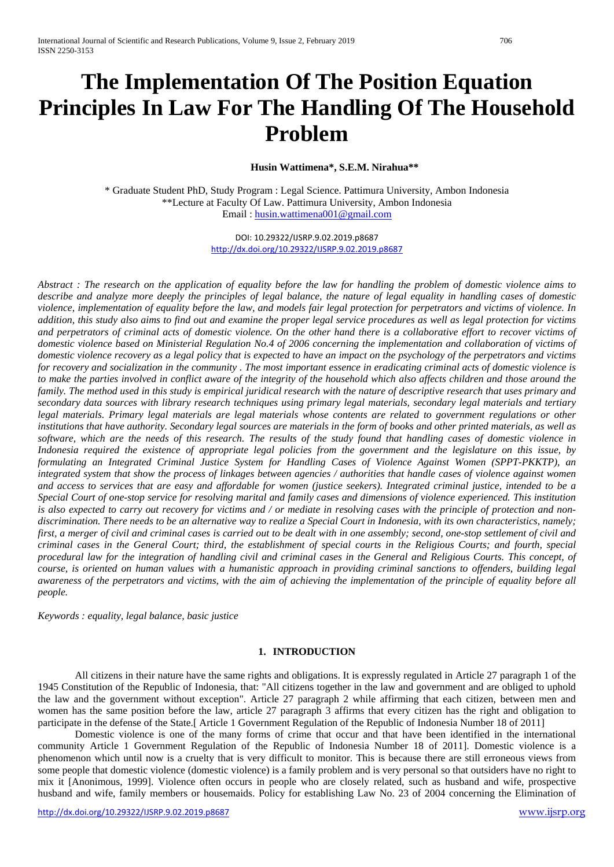# **The Implementation Of The Position Equation Principles In Law For The Handling Of The Household Problem**

## **Husin Wattimena\*, S.E.M. Nirahua\*\***

\* Graduate Student PhD, Study Program : Legal Science. Pattimura University, Ambon Indonesia \*\*Lecture at Faculty Of Law. Pattimura University, Ambon Indonesia Email : [husin.wattimena001@gmail.com](mailto:husin.wattimena001@gmail.com)

> DOI: 10.29322/IJSRP.9.02.2019.p8687 <http://dx.doi.org/10.29322/IJSRP.9.02.2019.p8687>

*Abstract : The research on the application of equality before the law for handling the problem of domestic violence aims to describe and analyze more deeply the principles of legal balance, the nature of legal equality in handling cases of domestic violence, implementation of equality before the law, and models fair legal protection for perpetrators and victims of violence. In addition, this study also aims to find out and examine the proper legal service procedures as well as legal protection for victims and perpetrators of criminal acts of domestic violence. On the other hand there is a collaborative effort to recover victims of domestic violence based on Ministerial Regulation No.4 of 2006 concerning the implementation and collaboration of victims of domestic violence recovery as a legal policy that is expected to have an impact on the psychology of the perpetrators and victims for recovery and socialization in the community . The most important essence in eradicating criminal acts of domestic violence is to make the parties involved in conflict aware of the integrity of the household which also affects children and those around the family. The method used in this study is empirical juridical research with the nature of descriptive research that uses primary and secondary data sources with library research techniques using primary legal materials, secondary legal materials and tertiary legal materials. Primary legal materials are legal materials whose contents are related to government regulations or other institutions that have authority. Secondary legal sources are materials in the form of books and other printed materials, as well as software, which are the needs of this research. The results of the study found that handling cases of domestic violence in Indonesia required the existence of appropriate legal policies from the government and the legislature on this issue, by formulating an Integrated Criminal Justice System for Handling Cases of Violence Against Women (SPPT-PKKTP), an integrated system that show the process of linkages between agencies / authorities that handle cases of violence against women and access to services that are easy and affordable for women (justice seekers). Integrated criminal justice, intended to be a Special Court of one-stop service for resolving marital and family cases and dimensions of violence experienced. This institution*  is also expected to carry out recovery for victims and / or mediate in resolving cases with the principle of protection and non*discrimination. There needs to be an alternative way to realize a Special Court in Indonesia, with its own characteristics, namely; first, a merger of civil and criminal cases is carried out to be dealt with in one assembly; second, one-stop settlement of civil and criminal cases in the General Court; third, the establishment of special courts in the Religious Courts; and fourth, special procedural law for the integration of handling civil and criminal cases in the General and Religious Courts. This concept, of course, is oriented on human values with a humanistic approach in providing criminal sanctions to offenders, building legal awareness of the perpetrators and victims, with the aim of achieving the implementation of the principle of equality before all people.*

*Keywords : equality, legal balance, basic justice*

## **1. INTRODUCTION**

All citizens in their nature have the same rights and obligations. It is expressly regulated in Article 27 paragraph 1 of the 1945 Constitution of the Republic of Indonesia, that: "All citizens together in the law and government and are obliged to uphold the law and the government without exception". Article 27 paragraph 2 while affirming that each citizen, between men and women has the same position before the law, article 27 paragraph 3 affirms that every citizen has the right and obligation to participate in the defense of the State.[ Article 1 Government Regulation of the Republic of Indonesia Number 18 of 2011]

Domestic violence is one of the many forms of crime that occur and that have been identified in the international community Article 1 Government Regulation of the Republic of Indonesia Number 18 of 2011]. Domestic violence is a phenomenon which until now is a cruelty that is very difficult to monitor. This is because there are still erroneous views from some people that domestic violence (domestic violence) is a family problem and is very personal so that outsiders have no right to mix it [Anonimous, 1999]. Violence often occurs in people who are closely related, such as husband and wife, prospective husband and wife, family members or housemaids. Policy for establishing Law No. 23 of 2004 concerning the Elimination of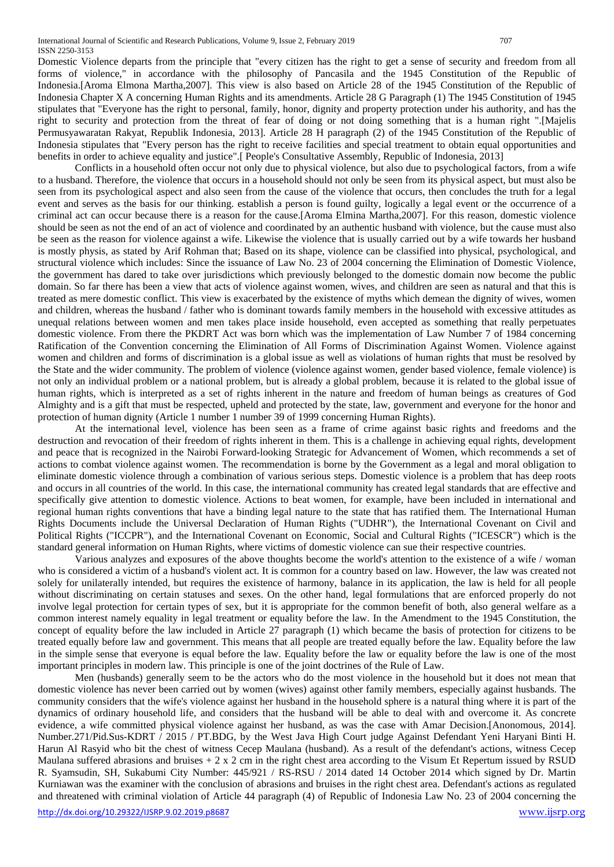Domestic Violence departs from the principle that "every citizen has the right to get a sense of security and freedom from all forms of violence," in accordance with the philosophy of Pancasila and the 1945 Constitution of the Republic of Indonesia.[Aroma Elmona Martha,2007]. This view is also based on Article 28 of the 1945 Constitution of the Republic of Indonesia Chapter X A concerning Human Rights and its amendments. Article 28 G Paragraph (1) The 1945 Constitution of 1945 stipulates that "Everyone has the right to personal, family, honor, dignity and property protection under his authority, and has the right to security and protection from the threat of fear of doing or not doing something that is a human right ".[Majelis Permusyawaratan Rakyat, Republik Indonesia, 2013]. Article 28 H paragraph (2) of the 1945 Constitution of the Republic of Indonesia stipulates that "Every person has the right to receive facilities and special treatment to obtain equal opportunities and benefits in order to achieve equality and justice".[ People's Consultative Assembly, Republic of Indonesia, 2013]

Conflicts in a household often occur not only due to physical violence, but also due to psychological factors, from a wife to a husband. Therefore, the violence that occurs in a household should not only be seen from its physical aspect, but must also be seen from its psychological aspect and also seen from the cause of the violence that occurs, then concludes the truth for a legal event and serves as the basis for our thinking. establish a person is found guilty, logically a legal event or the occurrence of a criminal act can occur because there is a reason for the cause.[Aroma Elmina Martha,2007]. For this reason, domestic violence should be seen as not the end of an act of violence and coordinated by an authentic husband with violence, but the cause must also be seen as the reason for violence against a wife. Likewise the violence that is usually carried out by a wife towards her husband is mostly physis, as stated by Arif Rohman that; Based on its shape, violence can be classified into physical, psychological, and structural violence which includes: Since the issuance of Law No. 23 of 2004 concerning the Elimination of Domestic Violence, the government has dared to take over jurisdictions which previously belonged to the domestic domain now become the public domain. So far there has been a view that acts of violence against women, wives, and children are seen as natural and that this is treated as mere domestic conflict. This view is exacerbated by the existence of myths which demean the dignity of wives, women and children, whereas the husband / father who is dominant towards family members in the household with excessive attitudes as unequal relations between women and men takes place inside household, even accepted as something that really perpetuates domestic violence. From there the PKDRT Act was born which was the implementation of Law Number 7 of 1984 concerning Ratification of the Convention concerning the Elimination of All Forms of Discrimination Against Women. Violence against women and children and forms of discrimination is a global issue as well as violations of human rights that must be resolved by the State and the wider community. The problem of violence (violence against women, gender based violence, female violence) is not only an individual problem or a national problem, but is already a global problem, because it is related to the global issue of human rights, which is interpreted as a set of rights inherent in the nature and freedom of human beings as creatures of God Almighty and is a gift that must be respected, upheld and protected by the state, law, government and everyone for the honor and protection of human dignity (Article 1 number 1 number 39 of 1999 concerning Human Rights).

At the international level, violence has been seen as a frame of crime against basic rights and freedoms and the destruction and revocation of their freedom of rights inherent in them. This is a challenge in achieving equal rights, development and peace that is recognized in the Nairobi Forward-looking Strategic for Advancement of Women, which recommends a set of actions to combat violence against women. The recommendation is borne by the Government as a legal and moral obligation to eliminate domestic violence through a combination of various serious steps. Domestic violence is a problem that has deep roots and occurs in all countries of the world. In this case, the international community has created legal standards that are effective and specifically give attention to domestic violence. Actions to beat women, for example, have been included in international and regional human rights conventions that have a binding legal nature to the state that has ratified them. The International Human Rights Documents include the Universal Declaration of Human Rights ("UDHR"), the International Covenant on Civil and Political Rights ("ICCPR"), and the International Covenant on Economic, Social and Cultural Rights ("ICESCR") which is the standard general information on Human Rights, where victims of domestic violence can sue their respective countries.

Various analyzes and exposures of the above thoughts become the world's attention to the existence of a wife / woman who is considered a victim of a husband's violent act. It is common for a country based on law. However, the law was created not solely for unilaterally intended, but requires the existence of harmony, balance in its application, the law is held for all people without discriminating on certain statuses and sexes. On the other hand, legal formulations that are enforced properly do not involve legal protection for certain types of sex, but it is appropriate for the common benefit of both, also general welfare as a common interest namely equality in legal treatment or equality before the law. In the Amendment to the 1945 Constitution, the concept of equality before the law included in Article 27 paragraph (1) which became the basis of protection for citizens to be treated equally before law and government. This means that all people are treated equally before the law. Equality before the law in the simple sense that everyone is equal before the law. Equality before the law or equality before the law is one of the most important principles in modern law. This principle is one of the joint doctrines of the Rule of Law.

Men (husbands) generally seem to be the actors who do the most violence in the household but it does not mean that domestic violence has never been carried out by women (wives) against other family members, especially against husbands. The community considers that the wife's violence against her husband in the household sphere is a natural thing where it is part of the dynamics of ordinary household life, and considers that the husband will be able to deal with and overcome it. As concrete evidence, a wife committed physical violence against her husband, as was the case with Amar Decision.[Anonomous, 2014]. Number.271/Pid.Sus-KDRT / 2015 / PT.BDG, by the West Java High Court judge Against Defendant Yeni Haryani Binti H. Harun Al Rasyid who bit the chest of witness Cecep Maulana (husband). As a result of the defendant's actions, witness Cecep Maulana suffered abrasions and bruises  $+2 \times 2$  cm in the right chest area according to the Visum Et Repertum issued by RSUD R. Syamsudin, SH, Sukabumi City Number: 445/921 / RS-RSU / 2014 dated 14 October 2014 which signed by Dr. Martin Kurniawan was the examiner with the conclusion of abrasions and bruises in the right chest area. Defendant's actions as regulated and threatened with criminal violation of Article 44 paragraph (4) of Republic of Indonesia Law No. 23 of 2004 concerning the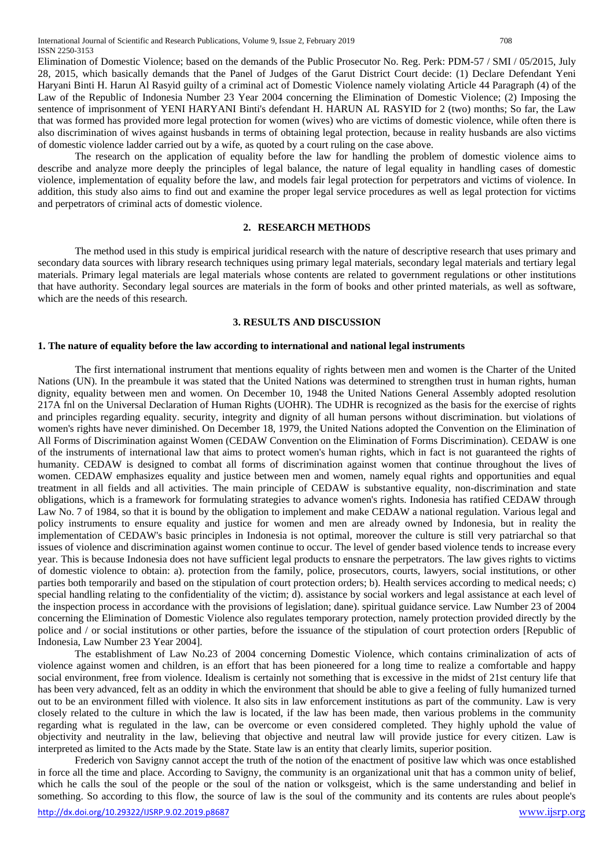Elimination of Domestic Violence; based on the demands of the Public Prosecutor No. Reg. Perk: PDM-57 / SMI / 05/2015, July 28, 2015, which basically demands that the Panel of Judges of the Garut District Court decide: (1) Declare Defendant Yeni Haryani Binti H. Harun Al Rasyid guilty of a criminal act of Domestic Violence namely violating Article 44 Paragraph (4) of the Law of the Republic of Indonesia Number 23 Year 2004 concerning the Elimination of Domestic Violence; (2) Imposing the sentence of imprisonment of YENI HARYANI Binti's defendant H. HARUN AL RASYID for 2 (two) months; So far, the Law that was formed has provided more legal protection for women (wives) who are victims of domestic violence, while often there is also discrimination of wives against husbands in terms of obtaining legal protection, because in reality husbands are also victims

The research on the application of equality before the law for handling the problem of domestic violence aims to describe and analyze more deeply the principles of legal balance, the nature of legal equality in handling cases of domestic violence, implementation of equality before the law, and models fair legal protection for perpetrators and victims of violence. In addition, this study also aims to find out and examine the proper legal service procedures as well as legal protection for victims and perpetrators of criminal acts of domestic violence.

#### **2. RESEARCH METHODS**

The method used in this study is empirical juridical research with the nature of descriptive research that uses primary and secondary data sources with library research techniques using primary legal materials, secondary legal materials and tertiary legal materials. Primary legal materials are legal materials whose contents are related to government regulations or other institutions that have authority. Secondary legal sources are materials in the form of books and other printed materials, as well as software, which are the needs of this research.

## **3. RESULTS AND DISCUSSION**

#### **1. The nature of equality before the law according to international and national legal instruments**

of domestic violence ladder carried out by a wife, as quoted by a court ruling on the case above.

The first international instrument that mentions equality of rights between men and women is the Charter of the United Nations (UN). In the preambule it was stated that the United Nations was determined to strengthen trust in human rights, human dignity, equality between men and women. On December 10, 1948 the United Nations General Assembly adopted resolution 217A fnl on the Universal Declaration of Human Rights (UOHR). The UDHR is recognized as the basis for the exercise of rights and principles regarding equality. security, integrity and dignity of all human persons without discrimination. but violations of women's rights have never diminished. On December 18, 1979, the United Nations adopted the Convention on the Elimination of All Forms of Discrimination against Women (CEDAW Convention on the Elimination of Forms Discrimination). CEDAW is one of the instruments of international law that aims to protect women's human rights, which in fact is not guaranteed the rights of humanity. CEDAW is designed to combat all forms of discrimination against women that continue throughout the lives of women. CEDAW emphasizes equality and justice between men and women, namely equal rights and opportunities and equal treatment in all fields and all activities. The main principle of CEDAW is substantive equality, non-discrimination and state obligations, which is a framework for formulating strategies to advance women's rights. Indonesia has ratified CEDAW through Law No. 7 of 1984, so that it is bound by the obligation to implement and make CEDAW a national regulation. Various legal and policy instruments to ensure equality and justice for women and men are already owned by Indonesia, but in reality the implementation of CEDAW's basic principles in Indonesia is not optimal, moreover the culture is still very patriarchal so that issues of violence and discrimination against women continue to occur. The level of gender based violence tends to increase every year. This is because Indonesia does not have sufficient legal products to ensnare the perpetrators. The law gives rights to victims of domestic violence to obtain: a). protection from the family, police, prosecutors, courts, lawyers, social institutions, or other parties both temporarily and based on the stipulation of court protection orders; b). Health services according to medical needs; c) special handling relating to the confidentiality of the victim; d). assistance by social workers and legal assistance at each level of the inspection process in accordance with the provisions of legislation; dane). spiritual guidance service. Law Number 23 of 2004 concerning the Elimination of Domestic Violence also regulates temporary protection, namely protection provided directly by the police and / or social institutions or other parties, before the issuance of the stipulation of court protection orders [Republic of Indonesia, Law Number 23 Year 2004].

The establishment of Law No.23 of 2004 concerning Domestic Violence, which contains criminalization of acts of violence against women and children, is an effort that has been pioneered for a long time to realize a comfortable and happy social environment, free from violence. Idealism is certainly not something that is excessive in the midst of 21st century life that has been very advanced, felt as an oddity in which the environment that should be able to give a feeling of fully humanized turned out to be an environment filled with violence. It also sits in law enforcement institutions as part of the community. Law is very closely related to the culture in which the law is located, if the law has been made, then various problems in the community regarding what is regulated in the law, can be overcome or even considered completed. They highly uphold the value of objectivity and neutrality in the law, believing that objective and neutral law will provide justice for every citizen. Law is interpreted as limited to the Acts made by the State. State law is an entity that clearly limits, superior position.

Frederich von Savigny cannot accept the truth of the notion of the enactment of positive law which was once established in force all the time and place. According to Savigny, the community is an organizational unit that has a common unity of belief, which he calls the soul of the people or the soul of the nation or volksgeist, which is the same understanding and belief in something. So according to this flow, the source of law is the soul of the community and its contents are rules about people's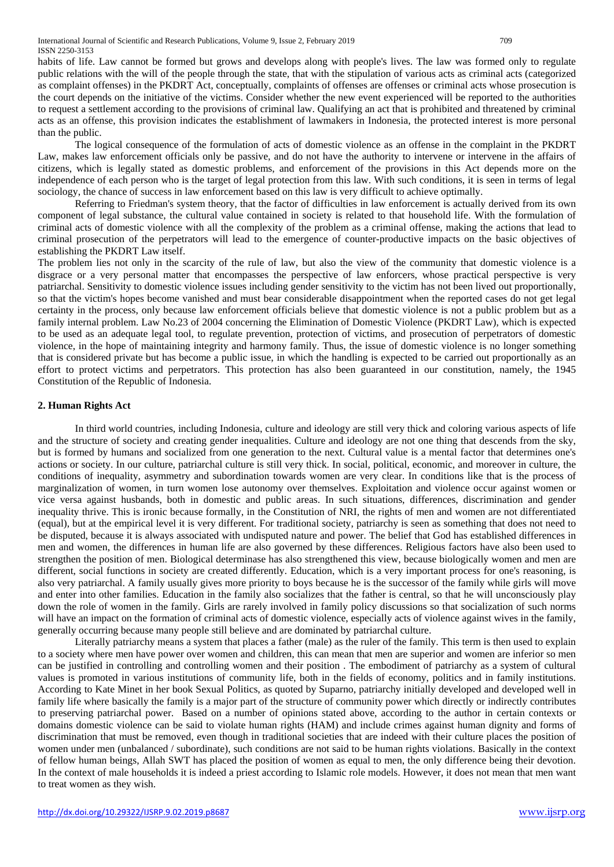habits of life. Law cannot be formed but grows and develops along with people's lives. The law was formed only to regulate public relations with the will of the people through the state, that with the stipulation of various acts as criminal acts (categorized as complaint offenses) in the PKDRT Act, conceptually, complaints of offenses are offenses or criminal acts whose prosecution is the court depends on the initiative of the victims. Consider whether the new event experienced will be reported to the authorities to request a settlement according to the provisions of criminal law. Qualifying an act that is prohibited and threatened by criminal acts as an offense, this provision indicates the establishment of lawmakers in Indonesia, the protected interest is more personal than the public.

The logical consequence of the formulation of acts of domestic violence as an offense in the complaint in the PKDRT Law, makes law enforcement officials only be passive, and do not have the authority to intervene or intervene in the affairs of citizens, which is legally stated as domestic problems, and enforcement of the provisions in this Act depends more on the independence of each person who is the target of legal protection from this law. With such conditions, it is seen in terms of legal sociology, the chance of success in law enforcement based on this law is very difficult to achieve optimally.

Referring to Friedman's system theory, that the factor of difficulties in law enforcement is actually derived from its own component of legal substance, the cultural value contained in society is related to that household life. With the formulation of criminal acts of domestic violence with all the complexity of the problem as a criminal offense, making the actions that lead to criminal prosecution of the perpetrators will lead to the emergence of counter-productive impacts on the basic objectives of establishing the PKDRT Law itself.

The problem lies not only in the scarcity of the rule of law, but also the view of the community that domestic violence is a disgrace or a very personal matter that encompasses the perspective of law enforcers, whose practical perspective is very patriarchal. Sensitivity to domestic violence issues including gender sensitivity to the victim has not been lived out proportionally, so that the victim's hopes become vanished and must bear considerable disappointment when the reported cases do not get legal certainty in the process, only because law enforcement officials believe that domestic violence is not a public problem but as a family internal problem. Law No.23 of 2004 concerning the Elimination of Domestic Violence (PKDRT Law), which is expected to be used as an adequate legal tool, to regulate prevention, protection of victims, and prosecution of perpetrators of domestic violence, in the hope of maintaining integrity and harmony family. Thus, the issue of domestic violence is no longer something that is considered private but has become a public issue, in which the handling is expected to be carried out proportionally as an effort to protect victims and perpetrators. This protection has also been guaranteed in our constitution, namely, the 1945 Constitution of the Republic of Indonesia.

## **2. Human Rights Act**

In third world countries, including Indonesia, culture and ideology are still very thick and coloring various aspects of life and the structure of society and creating gender inequalities. Culture and ideology are not one thing that descends from the sky, but is formed by humans and socialized from one generation to the next. Cultural value is a mental factor that determines one's actions or society. In our culture, patriarchal culture is still very thick. In social, political, economic, and moreover in culture, the conditions of inequality, asymmetry and subordination towards women are very clear. In conditions like that is the process of marginalization of women, in turn women lose autonomy over themselves. Exploitation and violence occur against women or vice versa against husbands, both in domestic and public areas. In such situations, differences, discrimination and gender inequality thrive. This is ironic because formally, in the Constitution of NRI, the rights of men and women are not differentiated (equal), but at the empirical level it is very different. For traditional society, patriarchy is seen as something that does not need to be disputed, because it is always associated with undisputed nature and power. The belief that God has established differences in men and women, the differences in human life are also governed by these differences. Religious factors have also been used to strengthen the position of men. Biological determinase has also strengthened this view, because biologically women and men are different, social functions in society are created differently. Education, which is a very important process for one's reasoning, is also very patriarchal. A family usually gives more priority to boys because he is the successor of the family while girls will move and enter into other families. Education in the family also socializes that the father is central, so that he will unconsciously play down the role of women in the family. Girls are rarely involved in family policy discussions so that socialization of such norms will have an impact on the formation of criminal acts of domestic violence, especially acts of violence against wives in the family, generally occurring because many people still believe and are dominated by patriarchal culture.

Literally patriarchy means a system that places a father (male) as the ruler of the family. This term is then used to explain to a society where men have power over women and children, this can mean that men are superior and women are inferior so men can be justified in controlling and controlling women and their position . The embodiment of patriarchy as a system of cultural values is promoted in various institutions of community life, both in the fields of economy, politics and in family institutions. According to Kate Minet in her book Sexual Politics, as quoted by Suparno, patriarchy initially developed and developed well in family life where basically the family is a major part of the structure of community power which directly or indirectly contributes to preserving patriarchal power. Based on a number of opinions stated above, according to the author in certain contexts or domains domestic violence can be said to violate human rights (HAM) and include crimes against human dignity and forms of discrimination that must be removed, even though in traditional societies that are indeed with their culture places the position of women under men (unbalanced / subordinate), such conditions are not said to be human rights violations. Basically in the context of fellow human beings, Allah SWT has placed the position of women as equal to men, the only difference being their devotion. In the context of male households it is indeed a priest according to Islamic role models. However, it does not mean that men want to treat women as they wish.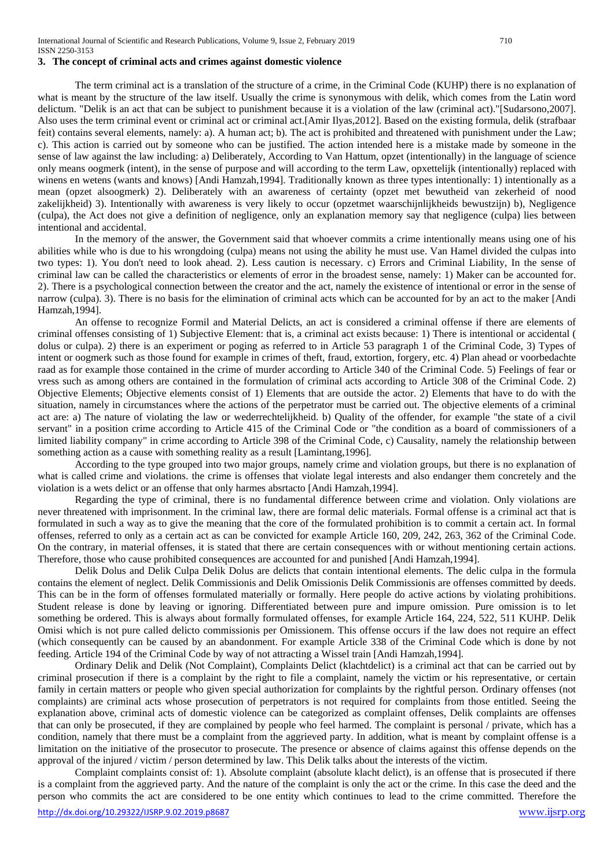## **3. The concept of criminal acts and crimes against domestic violence**

The term criminal act is a translation of the structure of a crime, in the Criminal Code (KUHP) there is no explanation of what is meant by the structure of the law itself. Usually the crime is synonymous with delik, which comes from the Latin word delictum. "Delik is an act that can be subject to punishment because it is a violation of the law (criminal act)."[Sudarsono,2007]. Also uses the term criminal event or criminal act or criminal act.[Amir Ilyas,2012]. Based on the existing formula, delik (strafbaar feit) contains several elements, namely: a). A human act; b). The act is prohibited and threatened with punishment under the Law; c). This action is carried out by someone who can be justified. The action intended here is a mistake made by someone in the sense of law against the law including: a) Deliberately, According to Van Hattum, opzet (intentionally) in the language of science only means oogmerk (intent), in the sense of purpose and will according to the term Law, opxettelijk (intentionally) replaced with winens en wetens (wants and knows) [Andi Hamzah,1994]. Traditionally known as three types intentionally: 1) intentionally as a mean (opzet alsoogmerk) 2). Deliberately with an awareness of certainty (opzet met bewutheid van zekerheid of nood zakelijkheid) 3). Intentionally with awareness is very likely to occur (opzetmet waarschijnlijkheids bewustzijn) b), Negligence (culpa), the Act does not give a definition of negligence, only an explanation memory say that negligence (culpa) lies between intentional and accidental.

In the memory of the answer, the Government said that whoever commits a crime intentionally means using one of his abilities while who is due to his wrongdoing (culpa) means not using the ability he must use. Van Hamel divided the culpas into two types: 1). You don't need to look ahead. 2). Less caution is necessary. c) Errors and Criminal Liability, In the sense of criminal law can be called the characteristics or elements of error in the broadest sense, namely: 1) Maker can be accounted for. 2). There is a psychological connection between the creator and the act, namely the existence of intentional or error in the sense of narrow (culpa). 3). There is no basis for the elimination of criminal acts which can be accounted for by an act to the maker [Andi Hamzah,1994].

An offense to recognize Formil and Material Delicts, an act is considered a criminal offense if there are elements of criminal offenses consisting of 1) Subjective Element: that is, a criminal act exists because: 1) There is intentional or accidental ( dolus or culpa). 2) there is an experiment or poging as referred to in Article 53 paragraph 1 of the Criminal Code, 3) Types of intent or oogmerk such as those found for example in crimes of theft, fraud, extortion, forgery, etc. 4) Plan ahead or voorbedachte raad as for example those contained in the crime of murder according to Article 340 of the Criminal Code. 5) Feelings of fear or vress such as among others are contained in the formulation of criminal acts according to Article 308 of the Criminal Code. 2) Objective Elements; Objective elements consist of 1) Elements that are outside the actor. 2) Elements that have to do with the situation, namely in circumstances where the actions of the perpetrator must be carried out. The objective elements of a criminal act are: a) The nature of violating the law or wederrechtelijkheid. b) Quality of the offender, for example "the state of a civil servant" in a position crime according to Article 415 of the Criminal Code or "the condition as a board of commissioners of a limited liability company" in crime according to Article 398 of the Criminal Code, c) Causality, namely the relationship between something action as a cause with something reality as a result [Lamintang,1996].

According to the type grouped into two major groups, namely crime and violation groups, but there is no explanation of what is called crime and violations. the crime is offenses that violate legal interests and also endanger them concretely and the violation is a wets delict or an offense that only harmes absrtacto [Andi Hamzah,1994].

Regarding the type of criminal, there is no fundamental difference between crime and violation. Only violations are never threatened with imprisonment. In the criminal law, there are formal delic materials. Formal offense is a criminal act that is formulated in such a way as to give the meaning that the core of the formulated prohibition is to commit a certain act. In formal offenses, referred to only as a certain act as can be convicted for example Article 160, 209, 242, 263, 362 of the Criminal Code. On the contrary, in material offenses, it is stated that there are certain consequences with or without mentioning certain actions. Therefore, those who cause prohibited consequences are accounted for and punished [Andi Hamzah,1994].

Delik Dolus and Delik Culpa Delik Dolus are delicts that contain intentional elements. The delic culpa in the formula contains the element of neglect. Delik Commissionis and Delik Omissionis Delik Commissionis are offenses committed by deeds. This can be in the form of offenses formulated materially or formally. Here people do active actions by violating prohibitions. Student release is done by leaving or ignoring. Differentiated between pure and impure omission. Pure omission is to let something be ordered. This is always about formally formulated offenses, for example Article 164, 224, 522, 511 KUHP. Delik Omisi which is not pure called delicto commissionis per Omissionem. This offense occurs if the law does not require an effect (which consequently can be caused by an abandonment. For example Article 338 of the Criminal Code which is done by not feeding. Article 194 of the Criminal Code by way of not attracting a Wissel train [Andi Hamzah,1994].

Ordinary Delik and Delik (Not Complaint), Complaints Delict (klachtdelict) is a criminal act that can be carried out by criminal prosecution if there is a complaint by the right to file a complaint, namely the victim or his representative, or certain family in certain matters or people who given special authorization for complaints by the rightful person. Ordinary offenses (not complaints) are criminal acts whose prosecution of perpetrators is not required for complaints from those entitled. Seeing the explanation above, criminal acts of domestic violence can be categorized as complaint offenses, Delik complaints are offenses that can only be prosecuted, if they are complained by people who feel harmed. The complaint is personal / private, which has a condition, namely that there must be a complaint from the aggrieved party. In addition, what is meant by complaint offense is a limitation on the initiative of the prosecutor to prosecute. The presence or absence of claims against this offense depends on the approval of the injured / victim / person determined by law. This Delik talks about the interests of the victim.

Complaint complaints consist of: 1). Absolute complaint (absolute klacht delict), is an offense that is prosecuted if there is a complaint from the aggrieved party. And the nature of the complaint is only the act or the crime. In this case the deed and the person who commits the act are considered to be one entity which continues to lead to the crime committed. Therefore the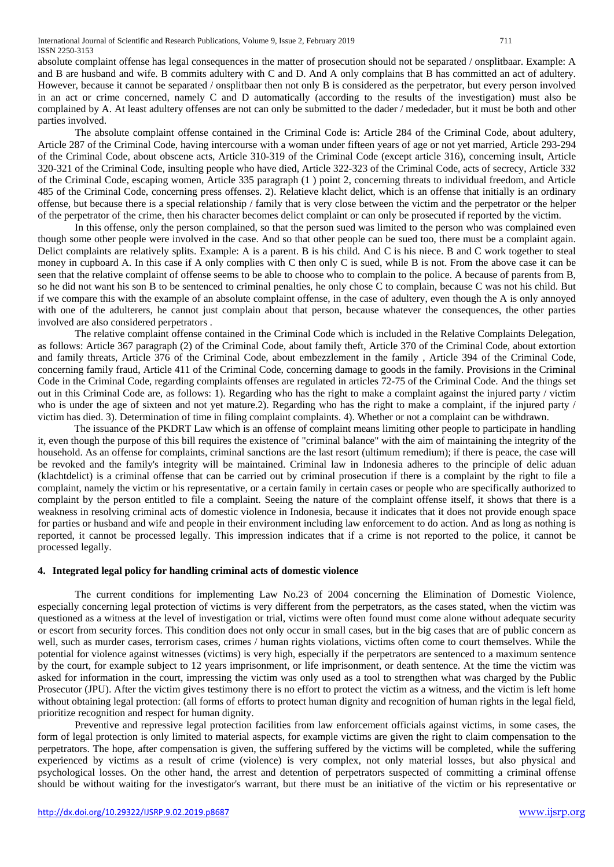absolute complaint offense has legal consequences in the matter of prosecution should not be separated / onsplitbaar. Example: A and B are husband and wife. B commits adultery with C and D. And A only complains that B has committed an act of adultery. However, because it cannot be separated / onsplitbaar then not only B is considered as the perpetrator, but every person involved in an act or crime concerned, namely C and D automatically (according to the results of the investigation) must also be complained by A. At least adultery offenses are not can only be submitted to the dader / mededader, but it must be both and other parties involved.

The absolute complaint offense contained in the Criminal Code is: Article 284 of the Criminal Code, about adultery, Article 287 of the Criminal Code, having intercourse with a woman under fifteen years of age or not yet married, Article 293-294 of the Criminal Code, about obscene acts, Article 310-319 of the Criminal Code (except article 316), concerning insult, Article 320-321 of the Criminal Code, insulting people who have died, Article 322-323 of the Criminal Code, acts of secrecy, Article 332 of the Criminal Code, escaping women, Article 335 paragraph (1 ) point 2, concerning threats to individual freedom, and Article 485 of the Criminal Code, concerning press offenses. 2). Relatieve klacht delict, which is an offense that initially is an ordinary offense, but because there is a special relationship / family that is very close between the victim and the perpetrator or the helper of the perpetrator of the crime, then his character becomes delict complaint or can only be prosecuted if reported by the victim.

In this offense, only the person complained, so that the person sued was limited to the person who was complained even though some other people were involved in the case. And so that other people can be sued too, there must be a complaint again. Delict complaints are relatively splits. Example: A is a parent. B is his child. And C is his niece. B and C work together to steal money in cupboard A. In this case if A only complies with C then only C is sued, while B is not. From the above case it can be seen that the relative complaint of offense seems to be able to choose who to complain to the police. A because of parents from B, so he did not want his son B to be sentenced to criminal penalties, he only chose C to complain, because C was not his child. But if we compare this with the example of an absolute complaint offense, in the case of adultery, even though the A is only annoyed with one of the adulterers, he cannot just complain about that person, because whatever the consequences, the other parties involved are also considered perpetrators .

The relative complaint offense contained in the Criminal Code which is included in the Relative Complaints Delegation, as follows: Article 367 paragraph (2) of the Criminal Code, about family theft, Article 370 of the Criminal Code, about extortion and family threats, Article 376 of the Criminal Code, about embezzlement in the family , Article 394 of the Criminal Code, concerning family fraud, Article 411 of the Criminal Code, concerning damage to goods in the family. Provisions in the Criminal Code in the Criminal Code, regarding complaints offenses are regulated in articles 72-75 of the Criminal Code. And the things set out in this Criminal Code are, as follows: 1). Regarding who has the right to make a complaint against the injured party / victim who is under the age of sixteen and not yet mature.2). Regarding who has the right to make a complaint, if the injured party / victim has died. 3). Determination of time in filing complaint complaints. 4). Whether or not a complaint can be withdrawn.

The issuance of the PKDRT Law which is an offense of complaint means limiting other people to participate in handling it, even though the purpose of this bill requires the existence of "criminal balance" with the aim of maintaining the integrity of the household. As an offense for complaints, criminal sanctions are the last resort (ultimum remedium); if there is peace, the case will be revoked and the family's integrity will be maintained. Criminal law in Indonesia adheres to the principle of delic aduan (klachtdelict) is a criminal offense that can be carried out by criminal prosecution if there is a complaint by the right to file a complaint, namely the victim or his representative, or a certain family in certain cases or people who are specifically authorized to complaint by the person entitled to file a complaint. Seeing the nature of the complaint offense itself, it shows that there is a weakness in resolving criminal acts of domestic violence in Indonesia, because it indicates that it does not provide enough space for parties or husband and wife and people in their environment including law enforcement to do action. And as long as nothing is reported, it cannot be processed legally. This impression indicates that if a crime is not reported to the police, it cannot be processed legally.

## **4. Integrated legal policy for handling criminal acts of domestic violence**

The current conditions for implementing Law No.23 of 2004 concerning the Elimination of Domestic Violence, especially concerning legal protection of victims is very different from the perpetrators, as the cases stated, when the victim was questioned as a witness at the level of investigation or trial, victims were often found must come alone without adequate security or escort from security forces. This condition does not only occur in small cases, but in the big cases that are of public concern as well, such as murder cases, terrorism cases, crimes / human rights violations, victims often come to court themselves. While the potential for violence against witnesses (victims) is very high, especially if the perpetrators are sentenced to a maximum sentence by the court, for example subject to 12 years imprisonment, or life imprisonment, or death sentence. At the time the victim was asked for information in the court, impressing the victim was only used as a tool to strengthen what was charged by the Public Prosecutor (JPU). After the victim gives testimony there is no effort to protect the victim as a witness, and the victim is left home without obtaining legal protection: (all forms of efforts to protect human dignity and recognition of human rights in the legal field, prioritize recognition and respect for human dignity.

Preventive and repressive legal protection facilities from law enforcement officials against victims, in some cases, the form of legal protection is only limited to material aspects, for example victims are given the right to claim compensation to the perpetrators. The hope, after compensation is given, the suffering suffered by the victims will be completed, while the suffering experienced by victims as a result of crime (violence) is very complex, not only material losses, but also physical and psychological losses. On the other hand, the arrest and detention of perpetrators suspected of committing a criminal offense should be without waiting for the investigator's warrant, but there must be an initiative of the victim or his representative or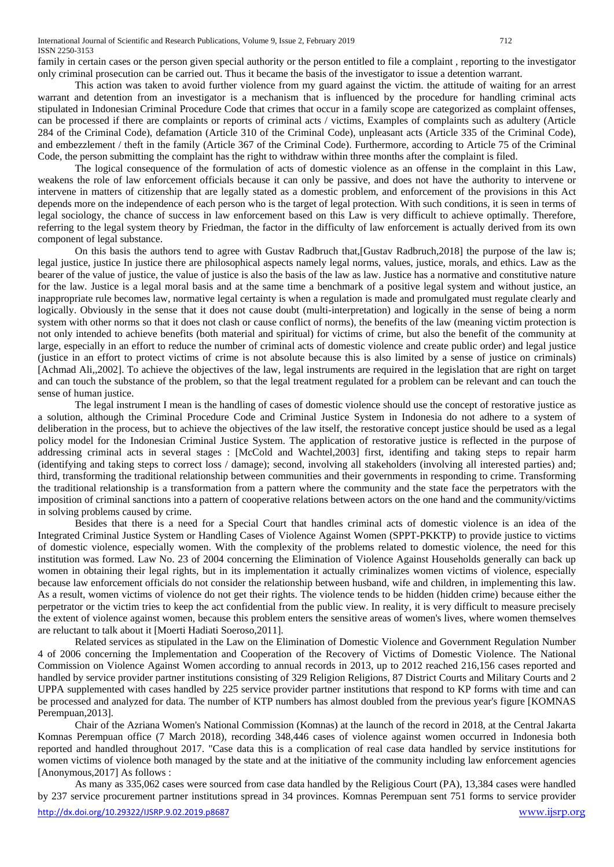family in certain cases or the person given special authority or the person entitled to file a complaint , reporting to the investigator only criminal prosecution can be carried out. Thus it became the basis of the investigator to issue a detention warrant.

This action was taken to avoid further violence from my guard against the victim. the attitude of waiting for an arrest warrant and detention from an investigator is a mechanism that is influenced by the procedure for handling criminal acts stipulated in Indonesian Criminal Procedure Code that crimes that occur in a family scope are categorized as complaint offenses, can be processed if there are complaints or reports of criminal acts / victims, Examples of complaints such as adultery (Article 284 of the Criminal Code), defamation (Article 310 of the Criminal Code), unpleasant acts (Article 335 of the Criminal Code), and embezzlement / theft in the family (Article 367 of the Criminal Code). Furthermore, according to Article 75 of the Criminal Code, the person submitting the complaint has the right to withdraw within three months after the complaint is filed.

The logical consequence of the formulation of acts of domestic violence as an offense in the complaint in this Law, weakens the role of law enforcement officials because it can only be passive, and does not have the authority to intervene or intervene in matters of citizenship that are legally stated as a domestic problem, and enforcement of the provisions in this Act depends more on the independence of each person who is the target of legal protection. With such conditions, it is seen in terms of legal sociology, the chance of success in law enforcement based on this Law is very difficult to achieve optimally. Therefore, referring to the legal system theory by Friedman, the factor in the difficulty of law enforcement is actually derived from its own component of legal substance.

On this basis the authors tend to agree with Gustav Radbruch that,[Gustav Radbruch,2018] the purpose of the law is; legal justice, justice In justice there are philosophical aspects namely legal norms, values, justice, morals, and ethics. Law as the bearer of the value of justice, the value of justice is also the basis of the law as law. Justice has a normative and constitutive nature for the law. Justice is a legal moral basis and at the same time a benchmark of a positive legal system and without justice, an inappropriate rule becomes law, normative legal certainty is when a regulation is made and promulgated must regulate clearly and logically. Obviously in the sense that it does not cause doubt (multi-interpretation) and logically in the sense of being a norm system with other norms so that it does not clash or cause conflict of norms), the benefits of the law (meaning victim protection is not only intended to achieve benefits (both material and spiritual) for victims of crime, but also the benefit of the community at large, especially in an effort to reduce the number of criminal acts of domestic violence and create public order) and legal justice (justice in an effort to protect victims of crime is not absolute because this is also limited by a sense of justice on criminals) [Achmad Ali,,2002]. To achieve the objectives of the law, legal instruments are required in the legislation that are right on target and can touch the substance of the problem, so that the legal treatment regulated for a problem can be relevant and can touch the sense of human justice.

The legal instrument I mean is the handling of cases of domestic violence should use the concept of restorative justice as a solution, although the Criminal Procedure Code and Criminal Justice System in Indonesia do not adhere to a system of deliberation in the process, but to achieve the objectives of the law itself, the restorative concept justice should be used as a legal policy model for the Indonesian Criminal Justice System. The application of restorative justice is reflected in the purpose of addressing criminal acts in several stages : [McCold and Wachtel,2003] first, identifing and taking steps to repair harm (identifying and taking steps to correct loss / damage); second, involving all stakeholders (involving all interested parties) and; third, transforming the traditional relationship between communities and their governments in responding to crime. Transforming the traditional relationship is a transformation from a pattern where the community and the state face the perpetrators with the imposition of criminal sanctions into a pattern of cooperative relations between actors on the one hand and the community/victims in solving problems caused by crime.

Besides that there is a need for a Special Court that handles criminal acts of domestic violence is an idea of the Integrated Criminal Justice System or Handling Cases of Violence Against Women (SPPT-PKKTP) to provide justice to victims of domestic violence, especially women. With the complexity of the problems related to domestic violence, the need for this institution was formed. Law No. 23 of 2004 concerning the Elimination of Violence Against Households generally can back up women in obtaining their legal rights, but in its implementation it actually criminalizes women victims of violence, especially because law enforcement officials do not consider the relationship between husband, wife and children, in implementing this law. As a result, women victims of violence do not get their rights. The violence tends to be hidden (hidden crime) because either the perpetrator or the victim tries to keep the act confidential from the public view. In reality, it is very difficult to measure precisely the extent of violence against women, because this problem enters the sensitive areas of women's lives, where women themselves are reluctant to talk about it [Moerti Hadiati Soeroso,2011].

Related services as stipulated in the Law on the Elimination of Domestic Violence and Government Regulation Number 4 of 2006 concerning the Implementation and Cooperation of the Recovery of Victims of Domestic Violence. The National Commission on Violence Against Women according to annual records in 2013, up to 2012 reached 216,156 cases reported and handled by service provider partner institutions consisting of 329 Religion Religions, 87 District Courts and Military Courts and 2 UPPA supplemented with cases handled by 225 service provider partner institutions that respond to KP forms with time and can be processed and analyzed for data. The number of KTP numbers has almost doubled from the previous year's figure [KOMNAS Perempuan,2013].

Chair of the Azriana Women's National Commission (Komnas) at the launch of the record in 2018, at the Central Jakarta Komnas Perempuan office (7 March 2018), recording 348,446 cases of violence against women occurred in Indonesia both reported and handled throughout 2017. "Case data this is a complication of real case data handled by service institutions for women victims of violence both managed by the state and at the initiative of the community including law enforcement agencies [Anonymous,2017] As follows :

As many as 335,062 cases were sourced from case data handled by the Religious Court (PA), 13,384 cases were handled by 237 service procurement partner institutions spread in 34 provinces. Komnas Perempuan sent 751 forms to service provider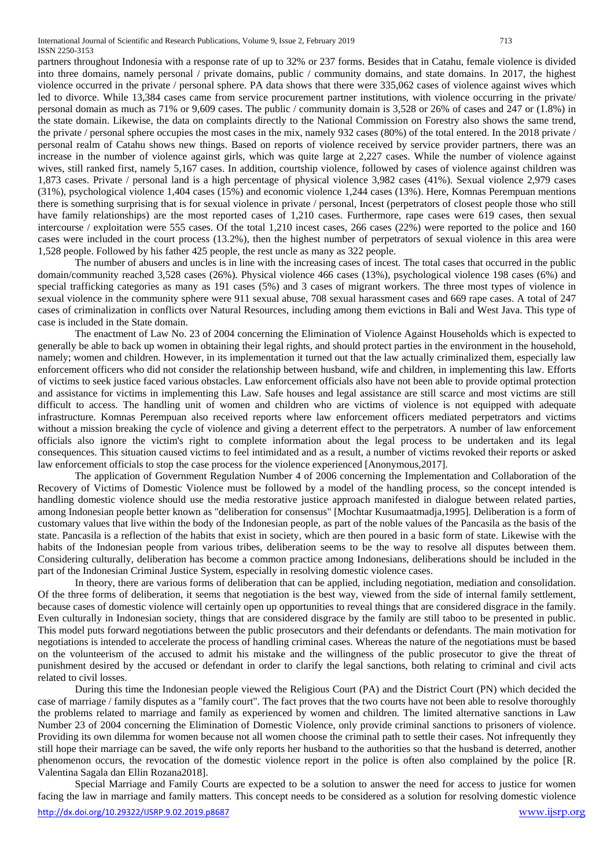partners throughout Indonesia with a response rate of up to 32% or 237 forms. Besides that in Catahu, female violence is divided into three domains, namely personal / private domains, public / community domains, and state domains. In 2017, the highest violence occurred in the private / personal sphere. PA data shows that there were 335,062 cases of violence against wives which led to divorce. While 13,384 cases came from service procurement partner institutions, with violence occurring in the private/ personal domain as much as 71% or 9,609 cases. The public / community domain is 3,528 or 26% of cases and 247 or (1.8%) in the state domain. Likewise, the data on complaints directly to the National Commission on Forestry also shows the same trend, the private / personal sphere occupies the most cases in the mix, namely 932 cases (80%) of the total entered. In the 2018 private / personal realm of Catahu shows new things. Based on reports of violence received by service provider partners, there was an increase in the number of violence against girls, which was quite large at 2,227 cases. While the number of violence against wives, still ranked first, namely 5,167 cases. In addition, courtship violence, followed by cases of violence against children was 1,873 cases. Private / personal land is a high percentage of physical violence 3,982 cases (41%). Sexual violence 2,979 cases (31%), psychological violence 1,404 cases (15%) and economic violence 1,244 cases (13%). Here, Komnas Perempuan mentions there is something surprising that is for sexual violence in private / personal, Incest (perpetrators of closest people those who still have family relationships) are the most reported cases of 1,210 cases. Furthermore, rape cases were 619 cases, then sexual intercourse / exploitation were 555 cases. Of the total 1,210 incest cases, 266 cases (22%) were reported to the police and 160 cases were included in the court process (13.2%), then the highest number of perpetrators of sexual violence in this area were 1,528 people. Followed by his father 425 people, the rest uncle as many as 322 people.

The number of abusers and uncles is in line with the increasing cases of incest. The total cases that occurred in the public domain/community reached 3,528 cases (26%). Physical violence 466 cases (13%), psychological violence 198 cases (6%) and special trafficking categories as many as 191 cases (5%) and 3 cases of migrant workers. The three most types of violence in sexual violence in the community sphere were 911 sexual abuse, 708 sexual harassment cases and 669 rape cases. A total of 247 cases of criminalization in conflicts over Natural Resources, including among them evictions in Bali and West Java. This type of case is included in the State domain.

The enactment of Law No. 23 of 2004 concerning the Elimination of Violence Against Households which is expected to generally be able to back up women in obtaining their legal rights, and should protect parties in the environment in the household, namely; women and children. However, in its implementation it turned out that the law actually criminalized them, especially law enforcement officers who did not consider the relationship between husband, wife and children, in implementing this law. Efforts of victims to seek justice faced various obstacles. Law enforcement officials also have not been able to provide optimal protection and assistance for victims in implementing this Law. Safe houses and legal assistance are still scarce and most victims are still difficult to access. The handling unit of women and children who are victims of violence is not equipped with adequate infrastructure. Komnas Perempuan also received reports where law enforcement officers mediated perpetrators and victims without a mission breaking the cycle of violence and giving a deterrent effect to the perpetrators. A number of law enforcement officials also ignore the victim's right to complete information about the legal process to be undertaken and its legal consequences. This situation caused victims to feel intimidated and as a result, a number of victims revoked their reports or asked law enforcement officials to stop the case process for the violence experienced [Anonymous,2017].

The application of Government Regulation Number 4 of 2006 concerning the Implementation and Collaboration of the Recovery of Victims of Domestic Violence must be followed by a model of the handling process, so the concept intended is handling domestic violence should use the media restorative justice approach manifested in dialogue between related parties, among Indonesian people better known as "deliberation for consensus" [Mochtar Kusumaatmadja,1995]. Deliberation is a form of customary values that live within the body of the Indonesian people, as part of the noble values of the Pancasila as the basis of the state. Pancasila is a reflection of the habits that exist in society, which are then poured in a basic form of state. Likewise with the habits of the Indonesian people from various tribes, deliberation seems to be the way to resolve all disputes between them. Considering culturally, deliberation has become a common practice among Indonesians, deliberations should be included in the part of the Indonesian Criminal Justice System, especially in resolving domestic violence cases.

In theory, there are various forms of deliberation that can be applied, including negotiation, mediation and consolidation. Of the three forms of deliberation, it seems that negotiation is the best way, viewed from the side of internal family settlement, because cases of domestic violence will certainly open up opportunities to reveal things that are considered disgrace in the family. Even culturally in Indonesian society, things that are considered disgrace by the family are still taboo to be presented in public. This model puts forward negotiations between the public prosecutors and their defendants or defendants. The main motivation for negotiations is intended to accelerate the process of handling criminal cases. Whereas the nature of the negotiations must be based on the volunteerism of the accused to admit his mistake and the willingness of the public prosecutor to give the threat of punishment desired by the accused or defendant in order to clarify the legal sanctions, both relating to criminal and civil acts related to civil losses.

During this time the Indonesian people viewed the Religious Court (PA) and the District Court (PN) which decided the case of marriage / family disputes as a "family court". The fact proves that the two courts have not been able to resolve thoroughly the problems related to marriage and family as experienced by women and children. The limited alternative sanctions in Law Number 23 of 2004 concerning the Elimination of Domestic Violence, only provide criminal sanctions to prisoners of violence. Providing its own dilemma for women because not all women choose the criminal path to settle their cases. Not infrequently they still hope their marriage can be saved, the wife only reports her husband to the authorities so that the husband is deterred, another phenomenon occurs, the revocation of the domestic violence report in the police is often also complained by the police [R. Valentina Sagala dan Ellin Rozana2018].

Special Marriage and Family Courts are expected to be a solution to answer the need for access to justice for women facing the law in marriage and family matters. This concept needs to be considered as a solution for resolving domestic violence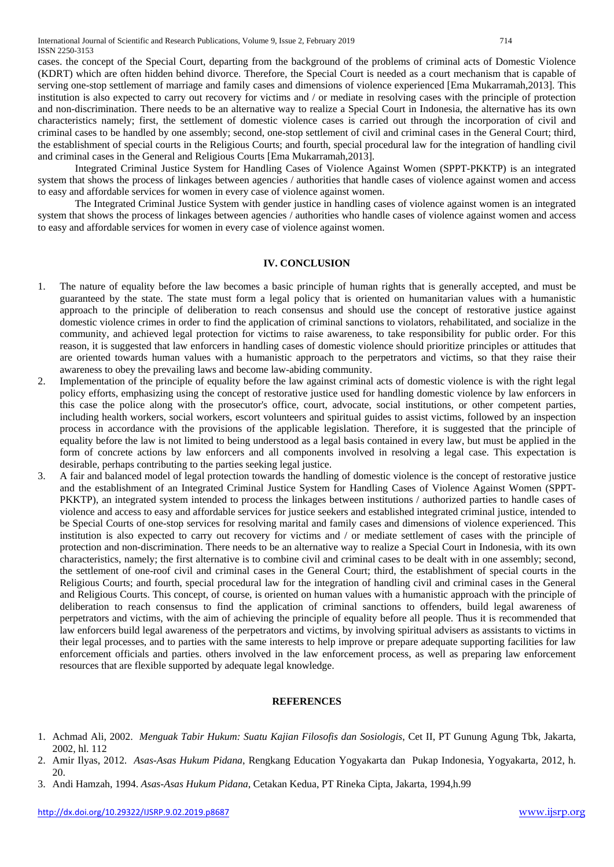cases. the concept of the Special Court, departing from the background of the problems of criminal acts of Domestic Violence (KDRT) which are often hidden behind divorce. Therefore, the Special Court is needed as a court mechanism that is capable of serving one-stop settlement of marriage and family cases and dimensions of violence experienced [Ema Mukarramah,2013]. This institution is also expected to carry out recovery for victims and / or mediate in resolving cases with the principle of protection and non-discrimination. There needs to be an alternative way to realize a Special Court in Indonesia, the alternative has its own characteristics namely; first, the settlement of domestic violence cases is carried out through the incorporation of civil and criminal cases to be handled by one assembly; second, one-stop settlement of civil and criminal cases in the General Court; third, the establishment of special courts in the Religious Courts; and fourth, special procedural law for the integration of handling civil and criminal cases in the General and Religious Courts [Ema Mukarramah,2013].

Integrated Criminal Justice System for Handling Cases of Violence Against Women (SPPT-PKKTP) is an integrated system that shows the process of linkages between agencies / authorities that handle cases of violence against women and access to easy and affordable services for women in every case of violence against women.

The Integrated Criminal Justice System with gender justice in handling cases of violence against women is an integrated system that shows the process of linkages between agencies / authorities who handle cases of violence against women and access to easy and affordable services for women in every case of violence against women.

## **IV. CONCLUSION**

- 1. The nature of equality before the law becomes a basic principle of human rights that is generally accepted, and must be guaranteed by the state. The state must form a legal policy that is oriented on humanitarian values with a humanistic approach to the principle of deliberation to reach consensus and should use the concept of restorative justice against domestic violence crimes in order to find the application of criminal sanctions to violators, rehabilitated, and socialize in the community, and achieved legal protection for victims to raise awareness, to take responsibility for public order. For this reason, it is suggested that law enforcers in handling cases of domestic violence should prioritize principles or attitudes that are oriented towards human values with a humanistic approach to the perpetrators and victims, so that they raise their awareness to obey the prevailing laws and become law-abiding community.
- 2. Implementation of the principle of equality before the law against criminal acts of domestic violence is with the right legal policy efforts, emphasizing using the concept of restorative justice used for handling domestic violence by law enforcers in this case the police along with the prosecutor's office, court, advocate, social institutions, or other competent parties, including health workers, social workers, escort volunteers and spiritual guides to assist victims, followed by an inspection process in accordance with the provisions of the applicable legislation. Therefore, it is suggested that the principle of equality before the law is not limited to being understood as a legal basis contained in every law, but must be applied in the form of concrete actions by law enforcers and all components involved in resolving a legal case. This expectation is desirable, perhaps contributing to the parties seeking legal justice.
- 3. A fair and balanced model of legal protection towards the handling of domestic violence is the concept of restorative justice and the establishment of an Integrated Criminal Justice System for Handling Cases of Violence Against Women (SPPT-PKKTP), an integrated system intended to process the linkages between institutions / authorized parties to handle cases of violence and access to easy and affordable services for justice seekers and established integrated criminal justice, intended to be Special Courts of one-stop services for resolving marital and family cases and dimensions of violence experienced. This institution is also expected to carry out recovery for victims and / or mediate settlement of cases with the principle of protection and non-discrimination. There needs to be an alternative way to realize a Special Court in Indonesia, with its own characteristics, namely; the first alternative is to combine civil and criminal cases to be dealt with in one assembly; second, the settlement of one-roof civil and criminal cases in the General Court; third, the establishment of special courts in the Religious Courts; and fourth, special procedural law for the integration of handling civil and criminal cases in the General and Religious Courts. This concept, of course, is oriented on human values with a humanistic approach with the principle of deliberation to reach consensus to find the application of criminal sanctions to offenders, build legal awareness of perpetrators and victims, with the aim of achieving the principle of equality before all people. Thus it is recommended that law enforcers build legal awareness of the perpetrators and victims, by involving spiritual advisers as assistants to victims in their legal processes, and to parties with the same interests to help improve or prepare adequate supporting facilities for law enforcement officials and parties. others involved in the law enforcement process, as well as preparing law enforcement resources that are flexible supported by adequate legal knowledge.

## **REFERENCES**

- 1. Achmad Ali, 2002. *Menguak Tabir Hukum: Suatu Kajian Filosofis dan Sosiologis*, Cet II, PT Gunung Agung Tbk, Jakarta, 2002, hl. 112
- 2. Amir Ilyas, 2012. *Asas-Asas Hukum Pidana*, Rengkang Education Yogyakarta dan Pukap Indonesia, Yogyakarta, 2012, h. 20.
- 3. Andi Hamzah, 1994. *Asas-Asas Hukum Pidana*, Cetakan Kedua, PT Rineka Cipta, Jakarta, 1994,h.99